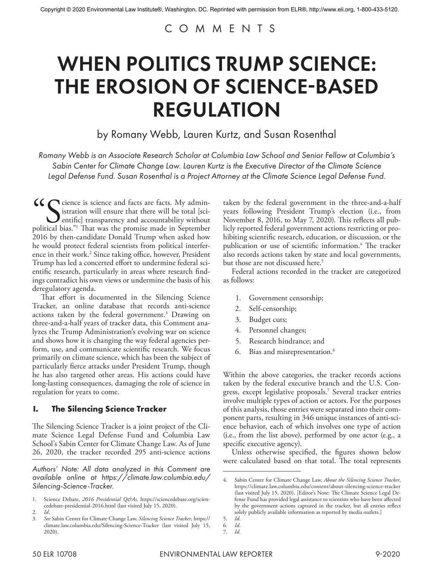## COMMENTS

# WHEN POLITICS TRUMP SCIENCE: THE EROSION OF SCIENCE-BASED REGULATION

by Romany Webb, Lauren Kurtz, and Susan Rosenthal

*Romany Webb is an Associate Research Scholar at Columbia Law School and Senior Fellow at Columbia's Sabin Center for Climate Change Law. Lauren Kurtz is the Executive Director of the Climate Science Legal Defense Fund. Susan Rosenthal is a Project Attorney at the Climate Science Legal Defense Fund.*

CC Science is science and facts are facts. My administration will ensure that there will be total [sciprific] transparency and accountability without political bias."<sup>1</sup> That was the promise made in September istration will ensure that there will be total [scientific] transparency and accountability without political bias."1 That was the promise made in September 2016 by then-candidate Donald Trump when asked how he would protect federal scientists from political interference in their work.<sup>2</sup> Since taking office, however, President Trump has led a concerted effort to undermine federal scientific research, particularly in areas where research findings contradict his own views or undermine the basis of his deregulatory agenda.

That effort is documented in the Silencing Science Tracker, an online database that records anti-science actions taken by the federal government.<sup>3</sup> Drawing on three-and-a-half years of tracker data, this Comment analyzes the Trump Administration's evolving war on science and shows how it is changing the way federal agencies perform, use, and communicate scientific research. We focus primarily on climate science, which has been the subject of particularly fierce attacks under President Trump, though he has also targeted other areas. His actions could have long-lasting consequences, damaging the role of science in regulation for years to come.

## **I. The Silencing Science Tracker**

The Silencing Science Tracker is a joint project of the Climate Science Legal Defense Fund and Columbia Law School's Sabin Center for Climate Change Law. As of June 26, 2020, the tracker recorded 295 anti-science actions

*Authors' Note: All data analyzed in this Comment are available online at https://climate.law.columbia.edu/ Silencing-Science-Tracker.*

taken by the federal government in the three-and-a-half years following President Trump's election (i.e., from November 8, 2016, to May 7, 2020). This reflects all publicly reported federal government actions restricting or prohibiting scientific research, education, or discussion, or the publication or use of scientific information.<sup>4</sup> The tracker also records actions taken by state and local governments, but those are not discussed here.<sup>5</sup>

Federal actions recorded in the tracker are categorized as follows:

- 1. Government censorship;
- 2. Self-censorship;
- 3. Budget cuts;
- 4. Personnel changes;
- 5. Research hindrance; and
- 6. Bias and misrepresentation.6

Within the above categories, the tracker records actions taken by the federal executive branch and the U.S. Congress, except legislative proposals.7 Several tracker entries involve multiple types of action or actors. For the purposes of this analysis, those entries were separated into their component parts, resulting in 346 unique instances of anti-science behavior, each of which involves one type of action (i.e., from the list above), performed by one actor (e.g., a specific executive agency).

Unless otherwise specified, the figures shown below were calculated based on that total. The total represents

<sup>1.</sup> Science Debate, 2016 Presidential Q&As, https://sciencedebate.org/sciencedebate-presidential-2016.html (last visited July 15, 2020).

<sup>2.</sup> *Id*.

<sup>3.</sup> *See* Sabin Center for Climate Change Law, *Silencing Science Tracker*, https:// climate.law.columbia.edu/Silencing-Science-Tracker (last visited July 15, 2020).

<sup>4.</sup> Sabin Center for Climate Change Law, *About the Silencing Science Tracker*, https://climate.law.columbia.edu/content/about-silencing-science-tracker (last visited July 15, 2020). [Editor's Note: The Climate Science Legal Defense Fund has provided legal assistance to scientists who have been affected by the government actions captured in the tracker, but all entries reflect solely publicly available information as reported by media outlets.]

<sup>5.</sup> *Id*.

<sup>6.</sup> *Id*.

<sup>7.</sup> *Id*.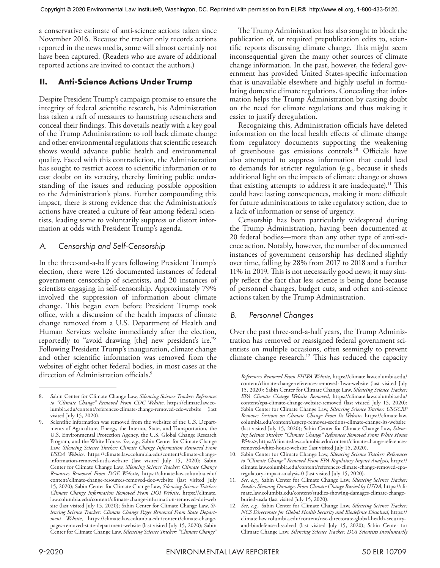a conservative estimate of anti-science actions taken since November 2016. Because the tracker only records actions reported in the news media, some will almost certainly not have been captured. (Readers who are aware of additional reported actions are invited to contact the authors.)

## **II. Anti-Science Actions Under Trump**

Despite President Trump's campaign promise to ensure the integrity of federal scientific research, his Administration has taken a raft of measures to hamstring researchers and conceal their findings. This dovetails neatly with a key goal of the Trump Administration: to roll back climate change and other environmental regulations that scientific research shows would advance public health and environmental quality. Faced with this contradiction, the Administration has sought to restrict access to scientific information or to cast doubt on its veracity, thereby limiting public understanding of the issues and reducing possible opposition to the Administration's plans. Further compounding this impact, there is strong evidence that the Administration's actions have created a culture of fear among federal scientists, leading some to voluntarily suppress or distort information at odds with President Trump's agenda.

## *A. Censorship and Self-Censorship*

In the three-and-a-half years following President Trump's election, there were 126 documented instances of federal government censorship of scientists, and 20 instances of scientists engaging in self-censorship. Approximately 79% involved the suppression of information about climate change. This began even before President Trump took office, with a discussion of the health impacts of climate change removed from a U.S. Department of Health and Human Services website immediately after the election, reportedly to "avoid drawing [the] new president's ire."8 Following President Trump's inauguration, climate change and other scientific information was removed from the websites of eight other federal bodies, in most cases at the direction of Administration officials.<sup>9</sup>

The Trump Administration has also sought to block the publication of, or required prepublication edits to, scientific reports discussing climate change. This might seem inconsequential given the many other sources of climate change information. In the past, however, the federal government has provided United States-specific information that is unavailable elsewhere and highly useful in formulating domestic climate regulations. Concealing that information helps the Trump Administration by casting doubt on the need for climate regulations and thus making it easier to justify deregulation.

Recognizing this, Administration officials have deleted information on the local health effects of climate change from regulatory documents supporting the weakening of greenhouse gas emissions controls.10 Officials have also attempted to suppress information that could lead to demands for stricter regulation (e.g., because it sheds additional light on the impacts of climate change or shows that existing attempts to address it are inadequate).<sup>11</sup> This could have lasting consequences, making it more difficult for future administrations to take regulatory action, due to a lack of information or sense of urgency.

Censorship has been particularly widespread during the Trump Administration, having been documented at 20 federal bodies—more than any other type of anti-science action. Notably, however, the number of documented instances of government censorship has declined slightly over time, falling by 28% from 2017 to 2018 and a further 11% in 2019. This is not necessarily good news; it may simply reflect the fact that less science is being done because of personnel changes, budget cuts, and other anti-science actions taken by the Trump Administration.

## *B. Personnel Changes*

Over the past three-and-a-half years, the Trump Administration has removed or reassigned federal government scientists on multiple occasions, often seemingly to prevent climate change research.<sup>12</sup> This has reduced the capacity

<sup>8.</sup> Sabin Center for Climate Change Law, *Silencing Science Tracker: References to "Climate Change" Removed From CDC Website*, https://climate.law.columbia.edu/content/references-climate-change-removed-cdc-website (last visited July 15, 2020).

Scientific information was removed from the websites of the U.S. Departments of Agriculture, Energy, the Interior, State, and Transportation, the U.S. Environmental Protection Agency, the U.S. Global Change Research Program, and the White House. *See*, *e.g.*, Sabin Center for Climate Change Law, *Silencing Science Tracker: Climate Change Information Removed From USDA Website*, https://climate.law.columbia.edu/content/climate-changeinformation-removed-usda-website (last visited July 15, 2020); Sabin Center for Climate Change Law, *Silencing Science Tracker: Climate Change Resources Removed From DOE Website*, https://climate.law.columbia.edu/ content/climate-change-resources-removed-doe-website (last visited July 15, 2020); Sabin Center for Climate Change Law, *Silencing Science Tracker: Climate Change Information Removed From DOI Website*, https://climate. law.columbia.edu/content/climate-change-information-removed-doi-web site (last visited July 15, 2020); Sabin Center for Climate Change Law, *Silencing Science Tracker: Climate Change Pages Removed From State Department Website*, https://climate.law.columbia.edu/content/climate-changepages-removed-state-department-website (last visited July 15, 2020); Sabin Center for Climate Change Law, *Silencing Science Tracker: "Climate Change"* 

*References Removed From FHWA Website*, https://climate.law.columbia.edu/ content/climate-change-references-removed-fhwa-website (last visited July 15, 2020); Sabin Center for Climate Change Law, *Silencing Science Tracker: EPA Climate Change Website Removed*, https://climate.law.columbia.edu/ content/epa-climate-change-website-removed (last visited July 15, 2020); Sabin Center for Climate Change Law, *Silencing Science Tracker: USGCRP Removes Sections on Climate Change From Its Website*, https://climate.law. columbia.edu/content/usgcrp-removes-sections-climate-change-its-website (last visited July 15, 2020); Sabin Center for Climate Change Law, *Silencing Science Tracker: "Climate Change" References Removed From White House Website*, https://climate.law.columbia.edu/content/climate-change-referencesremoved-white-house-website (last visited July 15, 2020).

<sup>10.</sup> Sabin Center for Climate Change Law, *Silencing Science Tracker: References to "Climate Change" Removed From EPA Regulatory Impact Analysis*, https:// climate.law.columbia.edu/content/references-climate-change-removed-eparegulatory-impact-analysis-0 (last visited July 15, 2020).

<sup>11.</sup> *See*, *e.g.*, Sabin Center for Climate Change Law, *Silencing Science Tracker: Studies Showing Damages From Climate Change Buried by USDA*, https://climate.law.columbia.edu/content/studies-showing-damages-climate-changeburied-usda (last visited July 15, 2020).

<sup>12.</sup> *See*, *e.g.*, Sabin Center for Climate Change Law, *Silencing Science Tracker: NCS Directorate for Global Health Security and Biodefense Dissolved*, https:// climate.law.columbia.edu/content/nsc-directorate-global-health-securityand-biodefense-dissolved (last visited July 15, 2020); Sabin Center for Climate Change Law, *Silencing Science Tracker: DOI Scientists Involuntarily*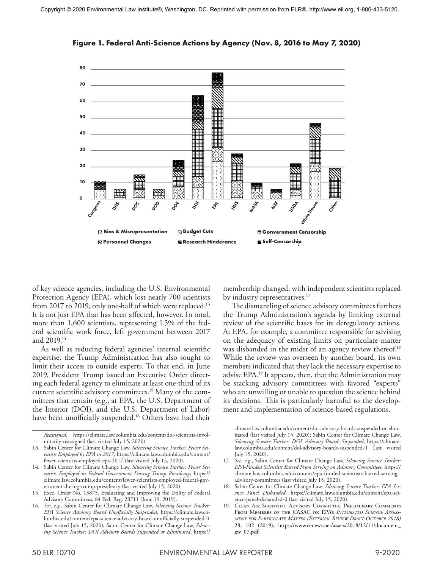

**Figure 1. Federal Anti-Science Actions by Agency (Nov. 8, 2016 to May 7, 2020)**

of key science agencies, including the U.S. Environmental Protection Agency (EPA), which lost nearly 700 scientists from 2017 to 2019, only one-half of which were replaced.<sup>13</sup> It is not just EPA that has been affected, however. In total, more than 1,600 scientists, representing 1.5% of the federal scientific work force, left government between 2017 and 2019.14

As well as reducing federal agencies' internal scientific expertise, the Trump Administration has also sought to limit their access to outside experts. To that end, in June 2019, President Trump issued an Executive Order directing each federal agency to eliminate at least one-third of its current scientific advisory committees.15 Many of the committees that remain (e.g., at EPA, the U.S. Department of the Interior (DOI), and the U.S. Department of Labor) have been unofficially suspended.<sup>16</sup> Others have had their

membership changed, with independent scientists replaced by industry representatives.<sup>17</sup>

The dismantling of science advisory committees furthers the Trump Administration's agenda by limiting external review of the scientific bases for its deregulatory actions. At EPA, for example, a committee responsible for advising on the adequacy of existing limits on particulate matter was disbanded in the midst of an agency review thereof.<sup>18</sup> While the review was overseen by another board, its own members indicated that they lack the necessary expertise to advise EPA.19 It appears, then, that the Administration may be stacking advisory committees with favored "experts" who are unwilling or unable to question the science behind its decisions. This is particularly harmful to the development and implementation of science-based regulations.

*Reassigned*, https://climate.law.columbia.edu/content/doi-scientists-involuntarily-reassigned (last visited July 15, 2020).

<sup>13.</sup> Sabin Center for Climate Change Law, *Silencing Science Tracker: Fewer Scientists Employed by EPA in 2017*, https://climate.law.columbia.edu/content/ fewer-scientists-employed-epa-2017 (last visited July 15, 2020).

<sup>14.</sup> Sabin Center for Climate Change Law, *Silencing Science Tracker: Fewer Scientists Employed in Federal Government During Trump Presidency*, https:// climate.law.columbia.edu/content/fewer-scientists-employed-federal-government-during-trump-presidency (last visited July 15, 2020).

<sup>15.</sup> Exec. Order No. 13875, Evaluating and Improving the Utility of Federal Advisory Committees, 84 Fed. Reg. 28711 (June 19, 2019).

<sup>16.</sup> *See*, *e.g.*, Sabin Center for Climate Change Law, *Silencing Science Tracker: EPA Science Advisory Board Unofficially Suspended*, https://climate.law.columbia.edu/content/epa-science-advisory-board-unofficially-suspended-0 (last visited July 15, 2020); Sabin Center for Climate Change Law, *Silencing Science Tracker: DOI Advisory Boards Suspended or Eliminated*, https://

climate.law.columbia.edu/content/doi-advisory-boards-suspended-or-eliminated (last visited July 15, 2020); Sabin Center for Climate Change Law, *Silencing Science Tracker: DOL Advisory Boards Suspended*, https://climate. law.columbia.edu/content/dol-advisory-boards-suspended-0 (last visited July 15, 2020).

<sup>17.</sup> *See*, *e.g.*, Sabin Center for Climate Change Law, *Silencing Science Tracker: EPA-Funded Scientists Barred From Serving on Advisory Committees*, https:// climate.law.columbia.edu/content/epa-funded-scientists-barred-servingadvisory-committees (last visited July 15, 2020).

<sup>18.</sup> Sabin Center for Climate Change Law, *Silencing Science Tracker: EPA Science Panel Disbanded*, https://climate.law.columbia.edu/content/epa-science-panel-disbanded-0 (last visited July 15, 2020).

<sup>19.</sup> Clean Air Scientific Advisory Committee, Preliminary Comments From Members of the CASAC on EPA's *Integrated Science Assessment for Particulate Matter (External Review Draft-October 2018)* 28, 102 (2019), https://www.eenews.net/assets/2018/12/11/document\_ gw\_07.pdf.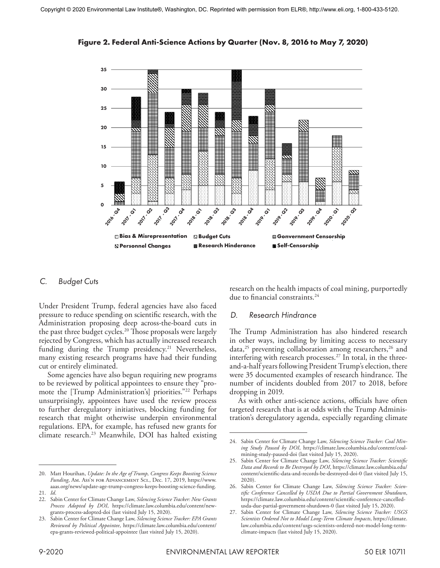



#### *C. Budget Cuts*

Under President Trump, federal agencies have also faced pressure to reduce spending on scientific research, with the Administration proposing deep across-the-board cuts in the past three budget cycles.<sup>20</sup> Those proposals were largely rejected by Congress, which has actually increased research funding during the Trump presidency.<sup>21</sup> Nevertheless, many existing research programs have had their funding cut or entirely eliminated.

Some agencies have also begun requiring new programs to be reviewed by political appointees to ensure they "promote the [Trump Administration's] priorities."22 Perhaps unsurprisingly, appointees have used the review process to further deregulatory initiatives, blocking funding for research that might otherwise underpin environmental regulations. EPA, for example, has refused new grants for climate research.<sup>23</sup> Meanwhile, DOI has halted existing research on the health impacts of coal mining, purportedly due to financial constraints.24

#### *D. Research Hindrance*

The Trump Administration has also hindered research in other ways, including by limiting access to necessary data,<sup>25</sup> preventing collaboration among researchers,<sup>26</sup> and interfering with research processes.<sup>27</sup> In total, in the threeand-a-half years following President Trump's election, there were 35 documented examples of research hindrance. The number of incidents doubled from 2017 to 2018, before dropping in 2019.

As with other anti-science actions, officials have often targeted research that is at odds with the Trump Administration's deregulatory agenda, especially regarding climate

<sup>20.</sup> Matt Hourihan, *Update: In the Age of Trump, Congress Keeps Boosting Science Funding*, Am. Ass'n for Advancement Sci., Dec. 17, 2019, https://www. aaas.org/news/update-age-trump-congress-keeps-boosting-science-funding.

<sup>21.</sup> *Id*.

<sup>22.</sup> Sabin Center for Climate Change Law, *Silencing Science Tracker: New Grants Process Adopted by DOI*, https://climate.law.columbia.edu/content/newgrants-process-adopted-doi (last visited July 15, 2020).

<sup>23.</sup> Sabin Center for Climate Change Law, *Silencing Science Tracker: EPA Grants Reviewed by Political Appointee*, https://climate.law.columbia.edu/content/ epa-grants-reviewed-political-appointee (last visited July 15, 2020).

<sup>24.</sup> Sabin Center for Climate Change Law, *Silencing Science Tracker: Coal Mining Study Paused by DOI*, https://climate.law.columbia.edu/content/coalmining-study-paused-doi (last visited July 15, 2020).

<sup>25.</sup> Sabin Center for Climate Change Law, *Silencing Science Tracker: Scientific Data and Records to Be Destroyed by DOI*, https://climate.law.columbia.edu/ content/scientific-data-and-records-be-destroyed-doi-0 (last visited July 15, 2020).

<sup>26.</sup> Sabin Center for Climate Change Law, *Silencing Science Tracker: Scientific Conference Cancelled by USDA Due to Partial Government Shutdown*, https://climate.law.columbia.edu/content/scientific-conference-cancelledusda-due-partial-government-shutdown-0 (last visited July 15, 2020).

<sup>27.</sup> Sabin Center for Climate Change Law, *Silencing Science Tracker: USGS Scientists Ordered Not to Model Long-Term Climate Impacts*, https://climate. law.columbia.edu/content/usgs-scientists-ordered-not-model-long-termclimate-impacts (last visited July 15, 2020).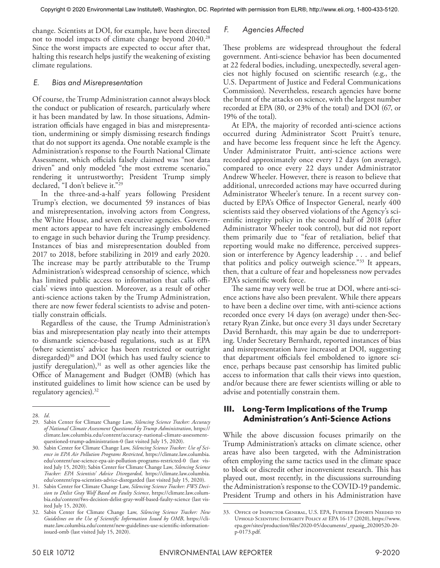change. Scientists at DOI, for example, have been directed not to model impacts of climate change beyond 2040.28 Since the worst impacts are expected to occur after that, halting this research helps justify the weakening of existing climate regulations.

#### *E. Bias and Misrepresentation*

Of course, the Trump Administration cannot always block the conduct or publication of research, particularly where it has been mandated by law. In those situations, Administration officials have engaged in bias and misrepresentation, undermining or simply dismissing research findings that do not support its agenda. One notable example is the Administration's response to the Fourth National Climate Assessment, which officials falsely claimed was "not data driven" and only modeled "the most extreme scenario," rendering it untrustworthy; President Trump simply declared, "I don't believe it."<sup>29</sup>

In the three-and-a-half years following President Trump's election, we documented 59 instances of bias and misrepresentation, involving actors from Congress, the White House, and seven executive agencies. Government actors appear to have felt increasingly emboldened to engage in such behavior during the Trump presidency. Instances of bias and misrepresentation doubled from 2017 to 2018, before stabilizing in 2019 and early 2020. The increase may be partly attributable to the Trump Administration's widespread censorship of science, which has limited public access to information that calls officials' views into question. Moreover, as a result of other anti-science actions taken by the Trump Administration, there are now fewer federal scientists to advise and potentially constrain officials.

Regardless of the cause, the Trump Administration's bias and misrepresentation play neatly into their attempts to dismantle science-based regulations, such as at EPA (where scientists' advice has been restricted or outright disregarded)<sup>30</sup> and DOI (which has used faulty science to justify deregulation), $31$  as well as other agencies like the Office of Management and Budget (OMB) (which has instituted guidelines to limit how science can be used by regulatory agencies).32

## *F. Agencies Affected*

These problems are widespread throughout the federal government. Anti-science behavior has been documented at 22 federal bodies, including, unexpectedly, several agencies not highly focused on scientific research (e.g., the U.S. Department of Justice and Federal Communications Commission). Nevertheless, research agencies have borne the brunt of the attacks on science, with the largest number recorded at EPA (80, or 23% of the total) and DOI (67, or 19% of the total).

At EPA, the majority of recorded anti-science actions occurred during Administrator Scott Pruitt's tenure, and have become less frequent since he left the Agency. Under Administrator Pruitt, anti-science actions were recorded approximately once every 12 days (on average), compared to once every 22 days under Administrator Andrew Wheeler. However, there is reason to believe that additional, unrecorded actions may have occurred during Administrator Wheeler's tenure. In a recent survey conducted by EPA's Office of Inspector General, nearly 400 scientists said they observed violations of the Agency's scientific integrity policy in the second half of 2018 (after Administrator Wheeler took control), but did not report them primarily due to "fear of retaliation, belief that reporting would make no difference, perceived suppression or interference by Agency leadership . . . and belief that politics and policy outweigh science."33 It appears, then, that a culture of fear and hopelessness now pervades EPA's scientific work force.

The same may very well be true at DOI, where anti-science actions have also been prevalent. While there appears to have been a decline over time, with anti-science actions recorded once every 14 days (on average) under then-Secretary Ryan Zinke, but once every 31 days under Secretary David Bernhardt, this may again be due to underreporting. Under Secretary Bernhardt, reported instances of bias and misrepresentation have increased at DOI, suggesting that department officials feel emboldened to ignore science, perhaps because past censorship has limited public access to information that calls their views into question, and/or because there are fewer scientists willing or able to advise and potentially constrain them.

## **III. Long-Term Implications of the Trump Administration's Anti-Science Actions**

While the above discussion focuses primarily on the Trump Administration's attacks on climate science, other areas have also been targeted, with the Administration often employing the same tactics used in the climate space to block or discredit other inconvenient research. This has played out, most recently, in the discussions surrounding the Administration's response to the COVID-19 pandemic. President Trump and others in his Administration have

<sup>28.</sup> *Id*.

<sup>29.</sup> Sabin Center for Climate Change Law, *Silencing Science Tracker: Accuracy of National Climate Assessment Questioned by Trump Administration*, https:// climate.law.columbia.edu/content/accuracy-national-climate-assessmentquestioned-trump-administration-0 (last visited July 15, 2020).

<sup>30.</sup> Sabin Center for Climate Change Law, *Silencing Science Tracker: Use of Science in EPA Air Pollution Programs Restricted*, https://climate.law.columbia. edu/content/use-science-epa-air-pollution-programs-restricted-0 (last visited July 15, 2020); Sabin Center for Climate Change Law, *Silencing Science Tracker: EPA Scientists' Advice Disregarded*, https://climate.law.columbia. edu/content/epa-scientists-advice-disregarded (last visited July 15, 2020).

<sup>31.</sup> Sabin Center for Climate Change Law, *Silencing Science Tracker: FWS Decision to Delist Gray Wolf Based on Faulty Science*, https://climate.law.columbia.edu/content/fws-decision-delist-gray-wolf-based-faulty-science (last visited July 15, 2020).

<sup>32.</sup> Sabin Center for Climate Change Law, *Silencing Science Tracker: New Guidelines on the Use of Scientific Information Issued by OMB*, https://climate.law.columbia.edu/content/new-guidelines-use-scientific-informationissued-omb (last visited July 15, 2020).

<sup>33.</sup> Office of Inspector General, U.S. EPA, Further Efforts Needed to Uphold Scientific Integrity Policy at EPA 16-17 (2020), https://www. epa.gov/sites/production/files/2020-05/documents/\_epaoig\_20200520-20 p-0173.pdf.